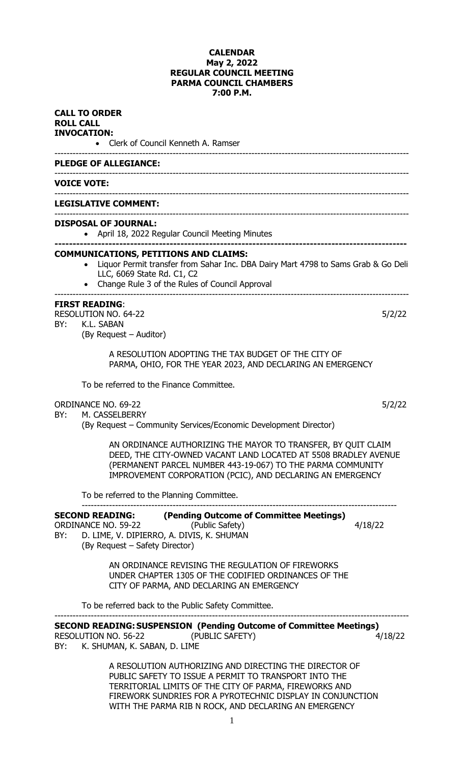### **CALENDAR May 2, 2022 REGULAR COUNCIL MEETING PARMA COUNCIL CHAMBERS 7:00 P.M.**

### **CALL TO ORDER ROLL CALL INVOCATION:**

• Clerk of Council Kenneth A. Ramser

#### --------------------------------------------------------------------------------------------------------------------- **PLEDGE OF ALLEGIANCE:**

### --------------------------------------------------------------------------------------------------------------------- **VOICE VOTE:**

#### --------------------------------------------------------------------------------------------------------------------- **LEGISLATIVE COMMENT:**

#### --------------------------------------------------------------------------------------------------------------------- **DISPOSAL OF JOURNAL:**

• April 18, 2022 Regular Council Meeting Minutes

#### **-------------------------------------------------------------------------------------------------- COMMUNICATIONS, PETITIONS AND CLAIMS:**

- Liquor Permit transfer from Sahar Inc. DBA Dairy Mart 4798 to Sams Grab & Go Deli LLC, 6069 State Rd. C1, C2
- Change Rule 3 of the Rules of Council Approval

#### --------------------------------------------------------------------------------------------------------------------- **FIRST READING**:

## RESOLUTION NO. 64-22 5/2/22

### BY: K.L. SABAN

(By Request – Auditor)

A RESOLUTION ADOPTING THE TAX BUDGET OF THE CITY OF PARMA, OHIO, FOR THE YEAR 2023, AND DECLARING AN EMERGENCY

To be referred to the Finance Committee.

### ORDINANCE NO. 69-22 5/2/22

BY: M. CASSELBERRY

(By Request – Community Services/Economic Development Director)

AN ORDINANCE AUTHORIZING THE MAYOR TO TRANSFER, BY QUIT CLAIM DEED, THE CITY-OWNED VACANT LAND LOCATED AT 5508 BRADLEY AVENUE (PERMANENT PARCEL NUMBER 443-19-067) TO THE PARMA COMMUNITY IMPROVEMENT CORPORATION (PCIC), AND DECLARING AN EMERGENCY

--------------------------------------------------------------------------------------------------------

To be referred to the Planning Committee.

| <b>SECOND READING:</b>                                                             | (Pending Outcome of Committee Meetings)           |         |
|------------------------------------------------------------------------------------|---------------------------------------------------|---------|
| ORDINANCE NO. 59-22                                                                | (Public Safety)                                   | 4/18/22 |
| D. LIME, V. DIPIERRO, A. DIVIS, K. SHUMAN<br>BY:<br>(By Request – Safety Director) |                                                   |         |
|                                                                                    | AN ORDINANCE REVISING THE REGULATION OF FIREWORKS |         |

UNDER CHAPTER 1305 OF THE CODIFIED ORDINANCES OF THE CITY OF PARMA, AND DECLARING AN EMERGENCY

To be referred back to the Public Safety Committee.

--------------------------------------------------------------------------------------------------------------------- **SECOND READING:SUSPENSION (Pending Outcome of Committee Meetings)** RESOLUTION NO. 56-22 (PUBLIC SAFETY) (2008) 4/18/22 BY: K. SHUMAN, K. SABAN, D. LIME

> A RESOLUTION AUTHORIZING AND DIRECTING THE DIRECTOR OF PUBLIC SAFETY TO ISSUE A PERMIT TO TRANSPORT INTO THE TERRITORIAL LIMITS OF THE CITY OF PARMA, FIREWORKS AND FIREWORK SUNDRIES FOR A PYROTECHNIC DISPLAY IN CONJUNCTION WITH THE PARMA RIB N ROCK, AND DECLARING AN EMERGENCY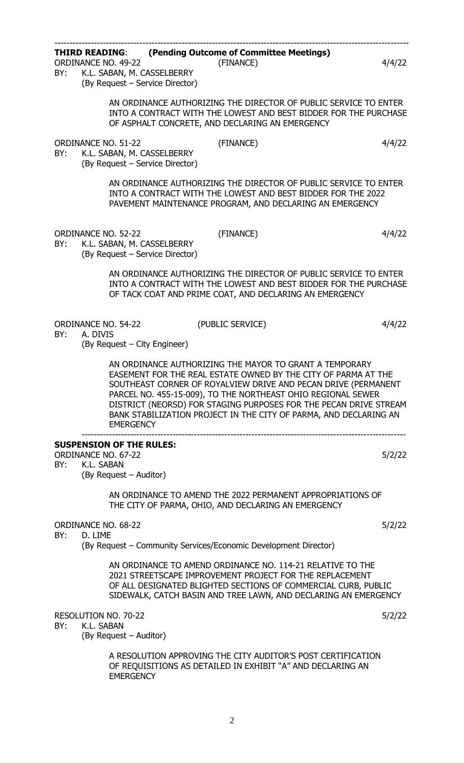| BY: | <b>ORDINANCE NO. 49-22</b><br>K.L. SABAN, M. CASSELBERRY<br>(By Request - Service Director) | <b>THIRD READING: (Pending Outcome of Committee Meetings)</b><br>(FINANCE)                                                                                                                                                                                                                                                                                                                            | 4/4/22 |
|-----|---------------------------------------------------------------------------------------------|-------------------------------------------------------------------------------------------------------------------------------------------------------------------------------------------------------------------------------------------------------------------------------------------------------------------------------------------------------------------------------------------------------|--------|
|     |                                                                                             | AN ORDINANCE AUTHORIZING THE DIRECTOR OF PUBLIC SERVICE TO ENTER<br>INTO A CONTRACT WITH THE LOWEST AND BEST BIDDER FOR THE PURCHASE<br>OF ASPHALT CONCRETE, AND DECLARING AN EMERGENCY                                                                                                                                                                                                               |        |
| BY: | <b>ORDINANCE NO. 51-22</b><br>K.L. SABAN, M. CASSELBERRY<br>(By Request - Service Director) | (FINANCE)                                                                                                                                                                                                                                                                                                                                                                                             | 4/4/22 |
|     |                                                                                             | AN ORDINANCE AUTHORIZING THE DIRECTOR OF PUBLIC SERVICE TO ENTER<br>INTO A CONTRACT WITH THE LOWEST AND BEST BIDDER FOR THE 2022<br>PAVEMENT MAINTENANCE PROGRAM, AND DECLARING AN EMERGENCY                                                                                                                                                                                                          |        |
| BY: | <b>ORDINANCE NO. 52-22</b><br>K.L. SABAN, M. CASSELBERRY<br>(By Request - Service Director) | (FINANCE)                                                                                                                                                                                                                                                                                                                                                                                             | 4/4/22 |
|     |                                                                                             | AN ORDINANCE AUTHORIZING THE DIRECTOR OF PUBLIC SERVICE TO ENTER<br>INTO A CONTRACT WITH THE LOWEST AND BEST BIDDER FOR THE PURCHASE<br>OF TACK COAT AND PRIME COAT, AND DECLARING AN EMERGENCY                                                                                                                                                                                                       |        |
| BY: | <b>ORDINANCE NO. 54-22</b><br>A. DIVIS<br>(By Request – City Engineer)                      | (PUBLIC SERVICE)                                                                                                                                                                                                                                                                                                                                                                                      | 4/4/22 |
|     | <b>EMERGENCY</b>                                                                            | AN ORDINANCE AUTHORIZING THE MAYOR TO GRANT A TEMPORARY<br>EASEMENT FOR THE REAL ESTATE OWNED BY THE CITY OF PARMA AT THE<br>SOUTHEAST CORNER OF ROYALVIEW DRIVE AND PECAN DRIVE (PERMANENT<br>PARCEL NO. 455-15-009), TO THE NORTHEAST OHIO REGIONAL SEWER<br>DISTRICT (NEORSD) FOR STAGING PURPOSES FOR THE PECAN DRIVE STREAM<br>BANK STABILIZATION PROJECT IN THE CITY OF PARMA, AND DECLARING AN |        |
|     | <b>SUSPENSION OF THE RULES:</b>                                                             |                                                                                                                                                                                                                                                                                                                                                                                                       |        |
| BY: | ORDINANCE NO. 67-22<br>K.L. SABAN<br>(By Request - Auditor)                                 |                                                                                                                                                                                                                                                                                                                                                                                                       | 5/2/22 |
|     |                                                                                             | AN ORDINANCE TO AMEND THE 2022 PERMANENT APPROPRIATIONS OF<br>THE CITY OF PARMA, OHIO, AND DECLARING AN EMERGENCY                                                                                                                                                                                                                                                                                     |        |
| BY: | ORDINANCE NO. 68-22<br>D. LIME                                                              |                                                                                                                                                                                                                                                                                                                                                                                                       | 5/2/22 |
|     |                                                                                             | (By Request – Community Services/Economic Development Director)                                                                                                                                                                                                                                                                                                                                       |        |
|     |                                                                                             | AN ORDINANCE TO AMEND ORDINANCE NO. 114-21 RELATIVE TO THE<br>2021 STREETSCAPE IMPROVEMENT PROJECT FOR THE REPLACEMENT<br>OF ALL DESIGNATED BLIGHTED SECTIONS OF COMMERCIAL CURB, PUBLIC<br>SIDEWALK, CATCH BASIN AND TREE LAWN, AND DECLARING AN EMERGENCY                                                                                                                                           |        |
| BY: | RESOLUTION NO. 70-22<br>K.L. SABAN                                                          |                                                                                                                                                                                                                                                                                                                                                                                                       | 5/2/22 |
|     | (By Request - Auditor)                                                                      |                                                                                                                                                                                                                                                                                                                                                                                                       |        |
|     | <b>EMERGENCY</b>                                                                            | A RESOLUTION APPROVING THE CITY AUDITOR'S POST CERTIFICATION<br>OF REQUISITIONS AS DETAILED IN EXHIBIT "A" AND DECLARING AN                                                                                                                                                                                                                                                                           |        |